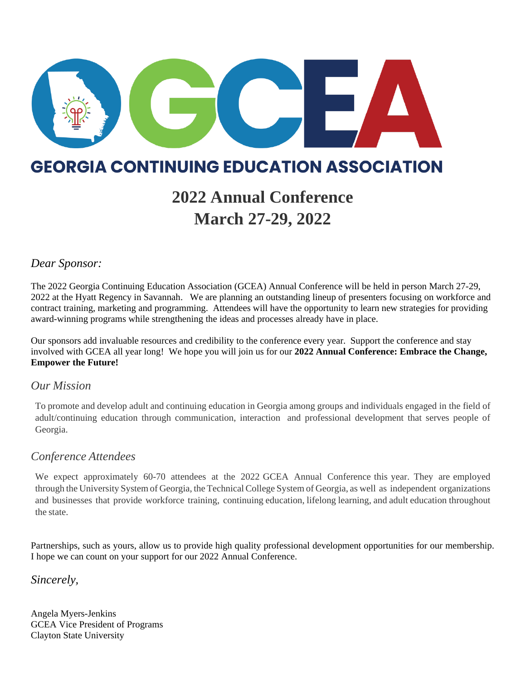

### **GEORGIA CONTINUING EDUCATION ASSOCIATION**

## **2022 Annual Conference March 27-29, 2022**

### *Dear Sponsor:*

The 2022 Georgia Continuing Education Association (GCEA) Annual Conference will be held in person March 27-29, 2022 at the Hyatt Regency in Savannah. We are planning an outstanding lineup of presenters focusing on workforce and contract training, marketing and programming. Attendees will have the opportunity to learn new strategies for providing award-winning programs while strengthening the ideas and processes already have in place.

Our sponsors add invaluable resources and credibility to the conference every year. Support the conference and stay involved with GCEA all year long! We hope you will join us for our **2022 Annual Conference: Embrace the Change, Empower the Future!**

### *Our Mission*

To promote and develop adult and continuing education in Georgia among groups and individuals engaged in the field of adult/continuing education through communication, interaction and professional development that serves people of Georgia.

### *Conference Attendees*

We expect approximately 60-70 attendees at the 2022 GCEA Annual Conference this year. They are employed through the University System of Georgia, the TechnicalCollege System of Georgia, as well as independent organizations and businesses that provide workforce training, continuing education, lifelong learning, and adult education throughout the state.

Partnerships, such as yours, allow us to provide high quality professional development opportunities for our membership. I hope we can count on your support for our 2022 Annual Conference.

*Sincerely,*

Angela Myers-Jenkins GCEA Vice President of Programs Clayton State University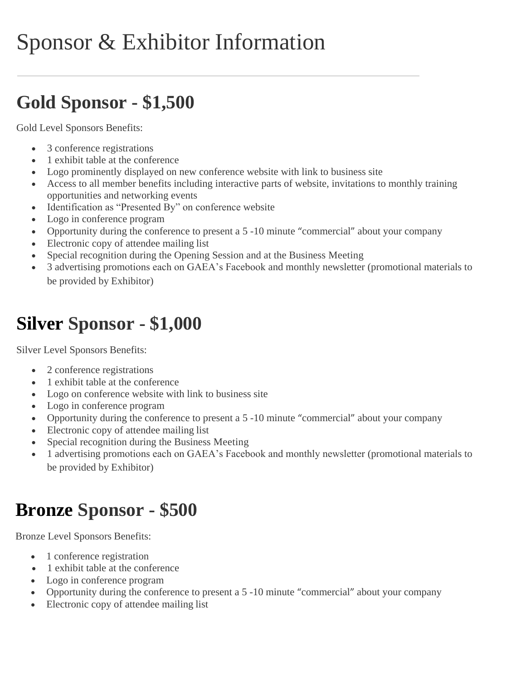# Sponsor & Exhibitor Information

## **Gold Sponsor - \$1,500**

Gold Level Sponsors Benefits:

- 3 conference registrations
- 1 exhibit table at the conference
- Logo prominently displayed on new conference website with link to business site
- Access to all member benefits including interactive parts of website, invitations to monthly training opportunities and networking events
- Identification as "Presented By" on conference website
- Logo in conference program
- Opportunity during the conference to present a 5 -10 minute "commercial" about your company
- Electronic copy of attendee mailing list
- Special recognition during the Opening Session and at the Business Meeting
- 3 advertising promotions each on GAEA's Facebook and monthly newsletter (promotional materials to be provided by Exhibitor)

## **Silver Sponsor - \$1,000**

Silver Level Sponsors Benefits:

- 2 conference registrations
- 1 exhibit table at the conference
- Logo on conference website with link to business site
- Logo in conference program
- Opportunity during the conference to present a 5 -10 minute "commercial" about your company
- Electronic copy of attendee mailing list
- Special recognition during the Business Meeting
- 1 advertising promotions each on GAEA's Facebook and monthly newsletter (promotional materials to be provided by Exhibitor)

## **Bronze Sponsor - \$500**

Bronze Level Sponsors Benefits:

- 1 conference registration
- 1 exhibit table at the conference
- Logo in conference program
- Opportunity during the conference to present a 5 -10 minute "commercial" about your company
- Electronic copy of attendee mailing list